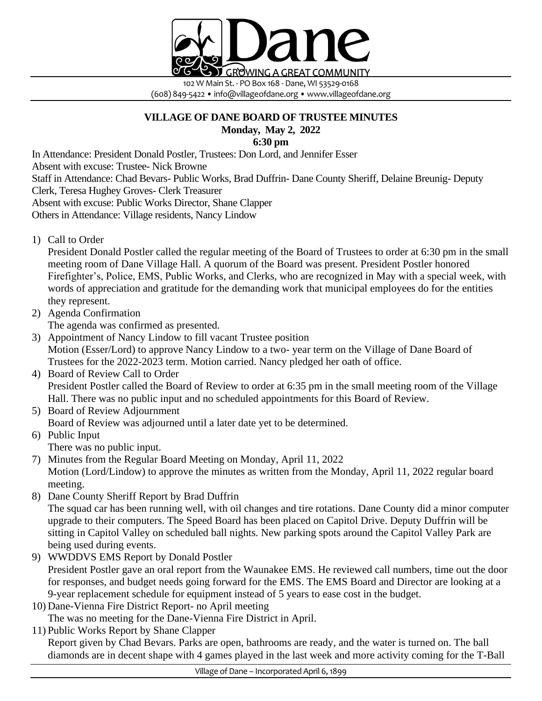

102 W Main St. - PO Box 168 - Dane, WI 53529-0168 (608) 849-5422 • info@villageofdane.org • www.villageofdane.org

## **VILLAGE OF DANE BOARD OF TRUSTEE MINUTES Monday, May 2, 2022**

**6:30 pm**

In Attendance: President Donald Postler, Trustees: Don Lord, and Jennifer Esser

Absent with excuse: Trustee- Nick Browne

Staff in Attendance: Chad Bevars- Public Works, Brad Duffrin- Dane County Sheriff, Delaine Breunig- Deputy

Clerk, Teresa Hughey Groves- Clerk Treasurer

Absent with excuse: Public Works Director, Shane Clapper

Others in Attendance: Village residents, Nancy Lindow

1) Call to Order

President Donald Postler called the regular meeting of the Board of Trustees to order at 6:30 pm in the small meeting room of Dane Village Hall. A quorum of the Board was present. President Postler honored Firefighter's, Police, EMS, Public Works, and Clerks, who are recognized in May with a special week, with words of appreciation and gratitude for the demanding work that municipal employees do for the entities they represent.

2) Agenda Confirmation

The agenda was confirmed as presented.

- 3) Appointment of Nancy Lindow to fill vacant Trustee position Motion (Esser/Lord) to approve Nancy Lindow to a two- year term on the Village of Dane Board of Trustees for the 2022-2023 term. Motion carried. Nancy pledged her oath of office.
- 4) Board of Review Call to Order President Postler called the Board of Review to order at 6:35 pm in the small meeting room of the Village Hall. There was no public input and no scheduled appointments for this Board of Review.
- 5) Board of Review Adjournment Board of Review was adjourned until a later date yet to be determined.

6) Public Input There was no public input.

- 7) Minutes from the Regular Board Meeting on Monday, April 11, 2022 Motion (Lord/Lindow) to approve the minutes as written from the Monday, April 11, 2022 regular board meeting.
- 8) Dane County Sheriff Report by Brad Duffrin

The squad car has been running well, with oil changes and tire rotations. Dane County did a minor computer upgrade to their computers. The Speed Board has been placed on Capitol Drive. Deputy Duffrin will be sitting in Capitol Valley on scheduled ball nights. New parking spots around the Capitol Valley Park are being used during events.

- 9) WWDDVS EMS Report by Donald Postler President Postler gave an oral report from the Waunakee EMS. He reviewed call numbers, time out the door for responses, and budget needs going forward for the EMS. The EMS Board and Director are looking at a 9-year replacement schedule for equipment instead of 5 years to ease cost in the budget.
- 10) Dane-Vienna Fire District Report- no April meeting The was no meeting for the Dane-Vienna Fire District in April.
- 11) Public Works Report by Shane Clapper

Report given by Chad Bevars. Parks are open, bathrooms are ready, and the water is turned on. The ball diamonds are in decent shape with 4 games played in the last week and more activity coming for the T-Ball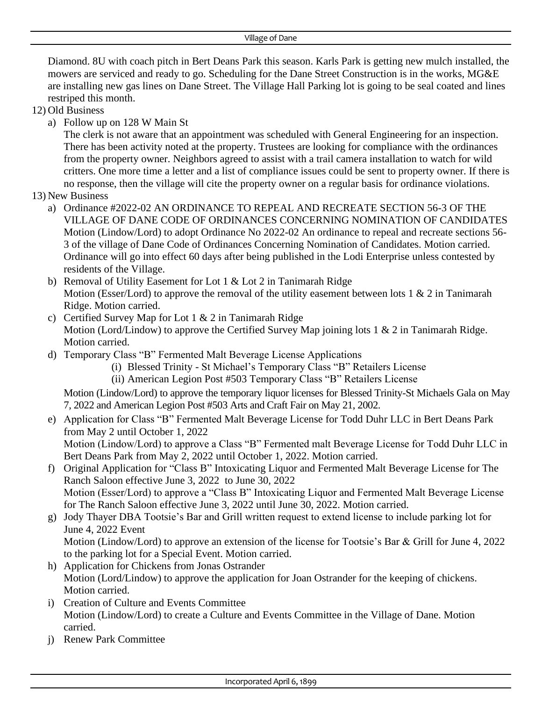Diamond. 8U with coach pitch in Bert Deans Park this season. Karls Park is getting new mulch installed, the mowers are serviced and ready to go. Scheduling for the Dane Street Construction is in the works, MG&E are installing new gas lines on Dane Street. The Village Hall Parking lot is going to be seal coated and lines restriped this month.

- 12) Old Business
	- a) Follow up on 128 W Main St

The clerk is not aware that an appointment was scheduled with General Engineering for an inspection. There has been activity noted at the property. Trustees are looking for compliance with the ordinances from the property owner. Neighbors agreed to assist with a trail camera installation to watch for wild critters. One more time a letter and a list of compliance issues could be sent to property owner. If there is no response, then the village will cite the property owner on a regular basis for ordinance violations.

- 13) New Business
	- a) Ordinance #2022-02 AN ORDINANCE TO REPEAL AND RECREATE SECTION 56-3 OF THE VILLAGE OF DANE CODE OF ORDINANCES CONCERNING NOMINATION OF CANDIDATES Motion (Lindow/Lord) to adopt Ordinance No 2022-02 An ordinance to repeal and recreate sections 56- 3 of the village of Dane Code of Ordinances Concerning Nomination of Candidates. Motion carried. Ordinance will go into effect 60 days after being published in the Lodi Enterprise unless contested by residents of the Village.
	- b) Removal of Utility Easement for Lot 1 & Lot 2 in Tanimarah Ridge Motion (Esser/Lord) to approve the removal of the utility easement between lots 1  $\&$  2 in Tanimarah Ridge. Motion carried.
	- c) Certified Survey Map for Lot  $1 \& 2$  in Tanimarah Ridge Motion (Lord/Lindow) to approve the Certified Survey Map joining lots 1 & 2 in Tanimarah Ridge. Motion carried.
	- d) Temporary Class "B" Fermented Malt Beverage License Applications
		- (i) Blessed Trinity St Michael's Temporary Class "B" Retailers License
		- (ii) American Legion Post #503 Temporary Class "B" Retailers License

Motion (Lindow/Lord) to approve the temporary liquor licenses for Blessed Trinity-St Michaels Gala on May 7, 2022 and American Legion Post #503 Arts and Craft Fair on May 21, 2002.

e) Application for Class "B" Fermented Malt Beverage License for Todd Duhr LLC in Bert Deans Park from May 2 until October 1, 2022

Motion (Lindow/Lord) to approve a Class "B" Fermented malt Beverage License for Todd Duhr LLC in Bert Deans Park from May 2, 2022 until October 1, 2022. Motion carried.

- f) Original Application for "Class B" Intoxicating Liquor and Fermented Malt Beverage License for The Ranch Saloon effective June 3, 2022 to June 30, 2022 Motion (Esser/Lord) to approve a "Class B" Intoxicating Liquor and Fermented Malt Beverage License for The Ranch Saloon effective June 3, 2022 until June 30, 2022. Motion carried.
- g) Jody Thayer DBA Tootsie's Bar and Grill written request to extend license to include parking lot for June 4, 2022 Event

Motion (Lindow/Lord) to approve an extension of the license for Tootsie's Bar & Grill for June 4, 2022 to the parking lot for a Special Event. Motion carried.

- h) Application for Chickens from Jonas Ostrander Motion (Lord/Lindow) to approve the application for Joan Ostrander for the keeping of chickens. Motion carried.
- i) Creation of Culture and Events Committee Motion (Lindow/Lord) to create a Culture and Events Committee in the Village of Dane. Motion carried.
- j) Renew Park Committee